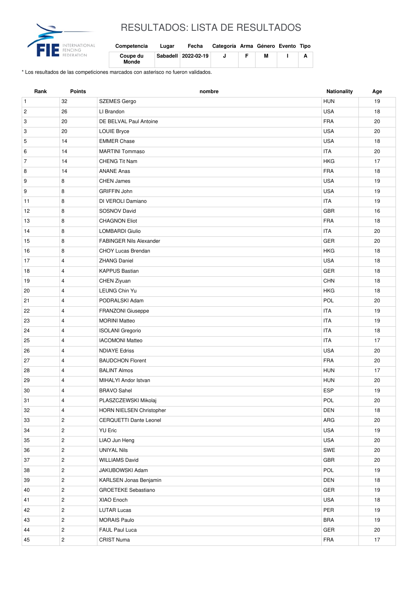

## RESULTADOS: LISTA DE RESULTADOS

| Competencia              | Lugar | Fecha               | Categoría Arma Género Evento Tipo |   |  |
|--------------------------|-------|---------------------|-----------------------------------|---|--|
| Coupe du<br><b>Monde</b> |       | Sabadell 2022-02-19 |                                   | М |  |

\* Los resultados de las competiciones marcados con asterisco no fueron validados.

| Rank           | <b>Points</b>  | nombre                         | <b>Nationality</b> | Age |
|----------------|----------------|--------------------------------|--------------------|-----|
| $\mathbf{1}$   | 32             | <b>SZEMES Gergo</b>            | <b>HUN</b>         | 19  |
| $\overline{c}$ | 26             | LI Brandon                     | <b>USA</b>         | 18  |
| 3              | 20             | DE BELVAL Paul Antoine         | <b>FRA</b>         | 20  |
| 3              | 20             | <b>LOUIE Bryce</b>             | <b>USA</b>         | 20  |
| 5              | 14             | <b>EMMER Chase</b>             | <b>USA</b>         | 18  |
| 6              | 14             | <b>MARTINI Tommaso</b>         | <b>ITA</b>         | 20  |
| $\overline{7}$ | 14             | <b>CHENG Tit Nam</b>           | <b>HKG</b>         | 17  |
| 8              | 14             | <b>ANANE Anas</b>              | <b>FRA</b>         | 18  |
| 9              | 8              | <b>CHEN James</b>              | <b>USA</b>         | 19  |
| 9              | 8              | <b>GRIFFIN John</b>            | <b>USA</b>         | 19  |
| 11             | 8              | DI VEROLI Damiano              | <b>ITA</b>         | 19  |
| 12             | 8              | SOSNOV David                   | <b>GBR</b>         | 16  |
| 13             | 8              | <b>CHAGNON Eliot</b>           | <b>FRA</b>         | 18  |
| 14             | 8              | <b>LOMBARDI Giulio</b>         | <b>ITA</b>         | 20  |
| 15             | 8              | <b>FABINGER Nils Alexander</b> | <b>GER</b>         | 20  |
| 16             | 8              | <b>CHOY Lucas Brendan</b>      | <b>HKG</b>         | 18  |
| 17             | $\overline{4}$ | <b>ZHANG Daniel</b>            | <b>USA</b>         | 18  |
| 18             | $\overline{4}$ | <b>KAPPUS Bastian</b>          | GER                | 18  |
| 19             | $\overline{4}$ | CHEN Ziyuan                    | <b>CHN</b>         | 18  |
| 20             | $\overline{4}$ | LEUNG Chin Yu                  | <b>HKG</b>         | 18  |
| 21             | 4              | PODRALSKI Adam                 | <b>POL</b>         | 20  |
| 22             | $\overline{4}$ | FRANZONI Giuseppe              | <b>ITA</b>         | 19  |
| 23             | $\overline{4}$ | <b>MORINI Matteo</b>           | <b>ITA</b>         | 19  |
| 24             | $\overline{4}$ | <b>ISOLANI</b> Gregorio        | <b>ITA</b>         | 18  |
| 25             | $\overline{4}$ | <b>IACOMONI Matteo</b>         | <b>ITA</b>         | 17  |
| 26             | $\overline{4}$ | <b>NDIAYE Edriss</b>           | <b>USA</b>         | 20  |
| 27             | $\overline{4}$ | <b>BAUDCHON Florent</b>        | <b>FRA</b>         | 20  |
| 28             | $\overline{4}$ | <b>BALINT Almos</b>            | <b>HUN</b>         | 17  |
| 29             | $\overline{4}$ | MIHALYI Andor Istvan           | <b>HUN</b>         | 20  |
| 30             | $\overline{4}$ | <b>BRAVO Sahel</b>             | <b>ESP</b>         | 19  |
| 31             | 4              | PLASZCZEWSKI Mikolaj           | POL                | 20  |
| 32             | 4              | HORN NIELSEN Christopher       | DEN                | 18  |
| 33             | $\overline{c}$ | CERQUETTI Dante Leonel         | ${\sf ARG}$        | 20  |
| 34             | $\mathbf{2}$   | <b>YU Eric</b>                 | USA                | 19  |
| 35             | $\overline{2}$ | LIAO Jun Heng                  | USA                | 20  |
| 36             | $\overline{2}$ | <b>UNIYAL Nils</b>             | SWE                | 20  |
| 37             | $\overline{2}$ | <b>WILLIAMS David</b>          | GBR                | 20  |
| 38             | $\overline{2}$ | JAKUBOWSKI Adam                | POL                | 19  |
| 39             | $\overline{2}$ | KARLSEN Jonas Benjamin         | DEN                | 18  |
| 40             | $\mathbf{2}$   | <b>GROETEKE Sebastiano</b>     | GER                | 19  |
| 41             | $\overline{2}$ | XIAO Enoch                     | USA                | 18  |
| 42             | $\overline{2}$ | <b>LUTAR Lucas</b>             | PER                | 19  |
| 43             | $\mathbf{2}$   | <b>MORAIS Paulo</b>            | <b>BRA</b>         | 19  |
| 44             | $\mathbf{2}$   | FAUL Paul Luca                 | GER                | 20  |
| 45             | $\overline{c}$ | <b>CRIST Numa</b>              | FRA                | 17  |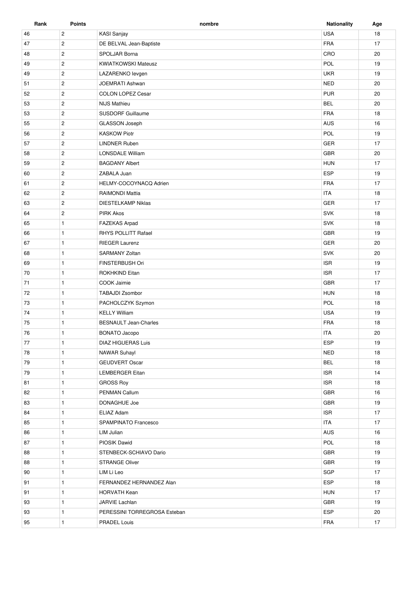| Rank | <b>Points</b>  | nombre                       | <b>Nationality</b> | Age |
|------|----------------|------------------------------|--------------------|-----|
| 46   | $\overline{c}$ | KASI Sanjay                  | <b>USA</b>         | 18  |
| 47   | $\overline{2}$ | DE BELVAL Jean-Baptiste      | <b>FRA</b>         | 17  |
| 48   | $\overline{2}$ | SPOLJAR Borna                | CRO                | 20  |
| 49   | $\overline{c}$ | <b>KWIATKOWSKI Mateusz</b>   | POL                | 19  |
| 49   | $\overline{2}$ | LAZARENKO levgen             | <b>UKR</b>         | 19  |
| 51   | $\overline{2}$ | JOEMRATI Ashwan              | <b>NED</b>         | 20  |
| 52   | $\overline{2}$ | <b>COLON LOPEZ Cesar</b>     | <b>PUR</b>         | 20  |
| 53   | $\overline{2}$ | <b>NIJS Mathieu</b>          | <b>BEL</b>         | 20  |
| 53   | $\overline{2}$ | <b>SUSDORF Guillaume</b>     | <b>FRA</b>         | 18  |
| 55   | $\overline{2}$ | GLASSON Joseph               | AUS                | 16  |
| 56   | $\overline{c}$ | <b>KASKOW Piotr</b>          | POL                | 19  |
| 57   | $\overline{c}$ | <b>LINDNER Ruben</b>         | <b>GER</b>         | 17  |
| 58   | $\overline{2}$ | LONSDALE William             | <b>GBR</b>         | 20  |
| 59   | $\overline{2}$ | <b>BAGDANY Albert</b>        | <b>HUN</b>         | 17  |
| 60   | $\overline{c}$ | ZABALA Juan                  | ESP                | 19  |
| 61   | $\overline{2}$ | HELMY-COCOYNACQ Adrien       | <b>FRA</b>         | 17  |
|      |                |                              |                    |     |
| 62   | $\overline{c}$ | <b>RAIMONDI Mattia</b>       | <b>ITA</b>         | 18  |
| 63   | $\overline{c}$ | <b>DIESTELKAMP Niklas</b>    | <b>GER</b>         | 17  |
| 64   | $\overline{2}$ | <b>PIRK Akos</b>             | SVK                | 18  |
| 65   | $\mathbf{1}$   | <b>FAZEKAS Arpad</b>         | <b>SVK</b>         | 18  |
| 66   | $\mathbf{1}$   | RHYS POLLITT Rafael          | <b>GBR</b>         | 19  |
| 67   | $\mathbf{1}$   | <b>RIEGER Laurenz</b>        | GER                | 20  |
| 68   | $\mathbf{1}$   | <b>SARMANY Zoltan</b>        | <b>SVK</b>         | 20  |
| 69   | $\mathbf{1}$   | FINSTERBUSH Ori              | <b>ISR</b>         | 19  |
| 70   | $\mathbf{1}$   | ROKHKIND Eitan               | <b>ISR</b>         | 17  |
| 71   | $\mathbf{1}$   | COOK Jaimie                  | <b>GBR</b>         | 17  |
| 72   | $\mathbf{1}$   | TABAJDI Zsombor              | <b>HUN</b>         | 18  |
| 73   | $\mathbf{1}$   | PACHOLCZYK Szymon            | POL                | 18  |
| 74   | $\mathbf{1}$   | <b>KELLY William</b>         | <b>USA</b>         | 19  |
| 75   | $\mathbf{1}$   | <b>BESNAULT Jean-Charles</b> | <b>FRA</b>         | 18  |
| 76   | $\mathbf{1}$   | <b>BONATO Jacopo</b>         | <b>ITA</b>         | 20  |
| 77   | $\mathbf{1}$   | <b>DIAZ HIGUERAS Luis</b>    | <b>ESP</b>         | 19  |
| 78   | $\mathbf{1}$   | <b>NAWAR Suhayl</b>          | <b>NED</b>         | 18  |
| 79   | $\mathbf{1}$   | <b>GEUDVERT Oscar</b>        | <b>BEL</b>         | 18  |
| 79   | $\mathbf{1}$   | LEMBERGER Eitan              | <b>ISR</b>         | 14  |
| 81   | $\mathbf{1}$   | <b>GROSS Roy</b>             | <b>ISR</b>         | 18  |
| 82   | $\mathbf{1}$   | PENMAN Callum                | GBR                | 16  |
| 83   | $\mathbf{1}$   | DONAGHUE Joe                 | GBR                | 19  |
| 84   | $\mathbf{1}$   | ELIAZ Adam                   | <b>ISR</b>         | 17  |
| 85   | $\mathbf{1}$   | SPAMPINATO Francesco         | <b>ITA</b>         | 17  |
| 86   | $\mathbf{1}$   | LIM Julian                   | AUS                | 16  |
| 87   | $\mathbf{1}$   | PIOSIK Dawid                 | POL                | 18  |
| 88   | $\mathbf{1}$   | STENBECK-SCHIAVO Dario       | GBR                | 19  |
| 88   | $\mathbf{1}$   | <b>STRANGE Oliver</b>        | GBR                | 19  |
| 90   | $\mathbf{1}$   | LIM Li Leo                   | SGP                | 17  |
| 91   | $\mathbf{1}$   | FERNANDEZ HERNANDEZ Alan     | ESP                | 18  |
| 91   | $\mathbf{1}$   | HORVATH Kean                 | <b>HUN</b>         | 17  |
| 93   | $\mathbf{1}$   | JARVIE Lachlan               | GBR                | 19  |
|      |                |                              | ESP                | 20  |
| 93   | $\mathbf{1}$   | PERESSINI TORREGROSA Esteban |                    |     |
| 95   | $\mathbf{1}$   | PRADEL Louis                 | FRA                | 17  |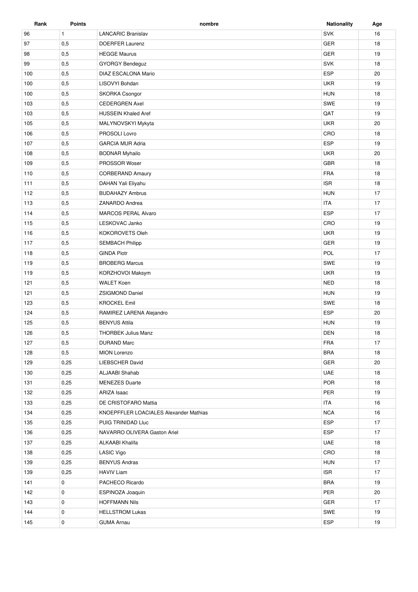| Rank | <b>Points</b> | nombre                                 | <b>Nationality</b> | Age |
|------|---------------|----------------------------------------|--------------------|-----|
| 96   | $\mathbf{1}$  | <b>LANCARIC Branislav</b>              | <b>SVK</b>         | 16  |
| 97   | 0,5           | <b>DOERFER Laurenz</b>                 | GER                | 18  |
| 98   | 0,5           | <b>HEGGE Maurus</b>                    | <b>GER</b>         | 19  |
| 99   | 0,5           | <b>GYORGY Bendeguz</b>                 | <b>SVK</b>         | 18  |
| 100  | 0,5           | DIAZ ESCALONA Mario                    | ESP                | 20  |
| 100  | 0,5           | LISOVYI Bohdan                         | <b>UKR</b>         | 19  |
| 100  | 0,5           | <b>SKORKA Csongor</b>                  | <b>HUN</b>         | 18  |
| 103  | 0,5           | <b>CEDERGREN Axel</b>                  | SWE                | 19  |
| 103  | 0,5           | <b>HUSSEIN Khaled Aref</b>             | QAT                | 19  |
| 105  | 0,5           | MALYNOVSKYI Mykyta                     | <b>UKR</b>         | 20  |
| 106  | 0,5           | PROSOLI Lovro                          | CRO                | 18  |
| 107  | 0,5           | <b>GARCIA MUR Adria</b>                | ESP                | 19  |
| 108  | 0,5           | <b>BODNAR Myhailo</b>                  | <b>UKR</b>         | 20  |
| 109  | 0,5           | PROSSOR Woser                          | <b>GBR</b>         | 18  |
| 110  | 0,5           | <b>CORBERAND Amaury</b>                | <b>FRA</b>         | 18  |
| 111  |               | DAHAN Yali Eliyahu                     | <b>ISR</b>         | 18  |
|      | 0,5           |                                        |                    |     |
| 112  | 0,5           | <b>BUDAHAZY Ambrus</b>                 | <b>HUN</b>         | 17  |
| 113  | 0,5           | ZANARDO Andrea                         | <b>ITA</b>         | 17  |
| 114  | 0,5           | <b>MARCOS PERAL Alvaro</b>             | <b>ESP</b>         | 17  |
| 115  | 0,5           | LESKOVAC Janko                         | CRO                | 19  |
| 116  | 0,5           | KOKOROVETS Oleh                        | <b>UKR</b>         | 19  |
| 117  | 0,5           | <b>SEMBACH Philipp</b>                 | <b>GER</b>         | 19  |
| 118  | 0,5           | <b>GINDA Piotr</b>                     | POL                | 17  |
| 119  | 0,5           | <b>BROBERG Marcus</b>                  | SWE                | 19  |
| 119  | 0,5           | KORZHOVOI Maksym                       | <b>UKR</b>         | 19  |
| 121  | 0,5           | <b>WALET Koen</b>                      | <b>NED</b>         | 18  |
| 121  | 0,5           | <b>ZSIGMOND Daniel</b>                 | <b>HUN</b>         | 19  |
| 123  | 0,5           | <b>KROCKEL Emil</b>                    | SWE                | 18  |
| 124  | 0,5           | RAMIREZ LARENA Alejandro               | <b>ESP</b>         | 20  |
| 125  | 0,5           | <b>BENYUS Attila</b>                   | <b>HUN</b>         | 19  |
| 126  | 0,5           | <b>THORBEK Julius Manz</b>             | <b>DEN</b>         | 18  |
| 127  | 0,5           | <b>DURAND Marc</b>                     | <b>FRA</b>         | 17  |
| 128  | 0,5           | <b>MION Lorenzo</b>                    | <b>BRA</b>         | 18  |
| 129  | 0,25          | LIEBSCHER David                        | GER                | 20  |
| 130  | 0,25          | ALJAABI Shahab                         | <b>UAE</b>         | 18  |
| 131  | 0,25          | <b>MENEZES Duarte</b>                  | POR                | 18  |
| 132  | 0,25          | ARIZA Isaac                            | PER                | 19  |
| 133  | 0,25          | DE CRISTOFARO Mattia                   | <b>ITA</b>         | 16  |
| 134  | 0,25          | KNOEPFFLER LOACIALES Alexander Mathias | <b>NCA</b>         | 16  |
| 135  | 0,25          | PUIG TRINIDAD Lluc                     | ESP                | 17  |
| 136  | 0,25          | NAVARRO OLIVERA Gaston Ariel           | <b>ESP</b>         | 17  |
| 137  | 0,25          | ALKAABI Khalifa                        | UAE                | 18  |
| 138  | 0,25          | <b>LASIC Vigo</b>                      | CRO                | 18  |
| 139  | 0,25          | <b>BENYUS Andras</b>                   | <b>HUN</b>         | 17  |
| 139  | 0,25          | <b>HAVIV Liam</b>                      | <b>ISR</b>         | 17  |
| 141  | 0             | PACHECO Ricardo                        | <b>BRA</b>         | 19  |
| 142  | 0             | ESPINOZA Joaquin                       | PER                | 20  |
| 143  | 0             | <b>HOFFMANN Nils</b>                   | GER                | 17  |
| 144  | 0             | <b>HELLSTROM Lukas</b>                 | SWE                | 19  |
|      |               |                                        | <b>ESP</b>         |     |
| 145  | 0             | <b>GUMA Arnau</b>                      |                    | 19  |